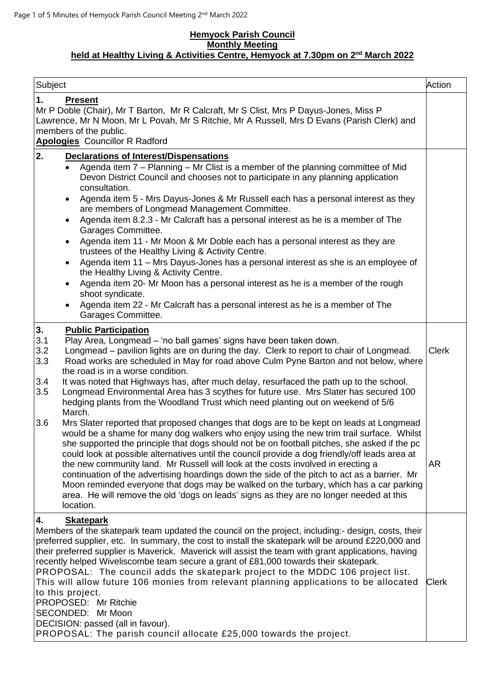## **Hemyock Parish Council Monthly Meeting held at Healthy Living & Activities Centre, Hemyock at 7.30pm on 2<sup>nd</sup> March 2022**

| Subject                                                                                                                                                                                                                                                                                                                                                                                                                                                                                                                                                                                                                                                                                                                                                                                      | Action       |  |  |  |
|----------------------------------------------------------------------------------------------------------------------------------------------------------------------------------------------------------------------------------------------------------------------------------------------------------------------------------------------------------------------------------------------------------------------------------------------------------------------------------------------------------------------------------------------------------------------------------------------------------------------------------------------------------------------------------------------------------------------------------------------------------------------------------------------|--------------|--|--|--|
| 1.<br><b>Present</b><br>Mr P Doble (Chair), Mr T Barton, Mr R Calcraft, Mr S Clist, Mrs P Dayus-Jones, Miss P<br>Lawrence, Mr N Moon, Mr L Povah, Mr S Ritchie, Mr A Russell, Mrs D Evans (Parish Clerk) and<br>members of the public.<br><b>Apologies</b> Councillor R Radford                                                                                                                                                                                                                                                                                                                                                                                                                                                                                                              |              |  |  |  |
| 2.<br><b>Declarations of Interest/Dispensations</b>                                                                                                                                                                                                                                                                                                                                                                                                                                                                                                                                                                                                                                                                                                                                          |              |  |  |  |
| Agenda item 7 - Planning - Mr Clist is a member of the planning committee of Mid<br>$\bullet$<br>Devon District Council and chooses not to participate in any planning application<br>consultation.<br>Agenda item 5 - Mrs Dayus-Jones & Mr Russell each has a personal interest as they                                                                                                                                                                                                                                                                                                                                                                                                                                                                                                     |              |  |  |  |
| are members of Longmead Management Committee.<br>Agenda item 8.2.3 - Mr Calcraft has a personal interest as he is a member of The                                                                                                                                                                                                                                                                                                                                                                                                                                                                                                                                                                                                                                                            |              |  |  |  |
| Garages Committee.<br>Agenda item 11 - Mr Moon & Mr Doble each has a personal interest as they are<br>٠<br>trustees of the Healthy Living & Activity Centre.                                                                                                                                                                                                                                                                                                                                                                                                                                                                                                                                                                                                                                 |              |  |  |  |
| Agenda item 11 - Mrs Dayus-Jones has a personal interest as she is an employee of<br>$\bullet$<br>the Healthy Living & Activity Centre.                                                                                                                                                                                                                                                                                                                                                                                                                                                                                                                                                                                                                                                      |              |  |  |  |
| Agenda item 20- Mr Moon has a personal interest as he is a member of the rough<br>$\bullet$<br>shoot syndicate.                                                                                                                                                                                                                                                                                                                                                                                                                                                                                                                                                                                                                                                                              |              |  |  |  |
| Agenda item 22 - Mr Calcraft has a personal interest as he is a member of The<br>Garages Committee.                                                                                                                                                                                                                                                                                                                                                                                                                                                                                                                                                                                                                                                                                          |              |  |  |  |
| 3.<br><b>Public Participation</b><br>3.1<br>Play Area, Longmead - 'no ball games' signs have been taken down.<br>3.2<br>Longmead - pavilion lights are on during the day. Clerk to report to chair of Longmead.<br>3.3<br>Road works are scheduled in May for road above Culm Pyne Barton and not below, where<br>the road is in a worse condition.<br>3.4<br>It was noted that Highways has, after much delay, resurfaced the path up to the school.<br>3.5<br>Longmead Environmental Area has 3 scythes for future use. Mrs Slater has secured 100<br>hedging plants from the Woodland Trust which need planting out on weekend of 5/6                                                                                                                                                     | <b>Clerk</b> |  |  |  |
| March.<br>Mrs Slater reported that proposed changes that dogs are to be kept on leads at Longmead<br>3.6<br>would be a shame for many dog walkers who enjoy using the new trim trail surface. Whilst<br>she supported the principle that dogs should not be on football pitches, she asked if the pc<br>could look at possible alternatives until the council provide a dog friendly/off leads area at<br>the new community land. Mr Russell will look at the costs involved in erecting a<br>continuation of the advertising hoardings down the side of the pitch to act as a barrier. Mr<br>Moon reminded everyone that dogs may be walked on the turbary, which has a car parking<br>area. He will remove the old 'dogs on leads' signs as they are no longer needed at this<br>location. | AR           |  |  |  |
| <b>Skatepark</b><br>4.<br>Members of the skatepark team updated the council on the project, including:- design, costs, their<br>preferred supplier, etc. In summary, the cost to install the skatepark will be around £220,000 and<br>their preferred supplier is Maverick. Maverick will assist the team with grant applications, having<br>recently helped Wiveliscombe team secure a grant of £81,000 towards their skatepark.<br>PROPOSAL: The council adds the skatepark project to the MDDC 106 project list.<br>This will allow future 106 monies from relevant planning applications to be allocated<br>to this project.<br>PROPOSED: Mr Ritchie<br>SECONDED: Mr Moon<br>DECISION: passed (all in favour).<br>PROPOSAL: The parish council allocate £25,000 towards the project.     | <b>Clerk</b> |  |  |  |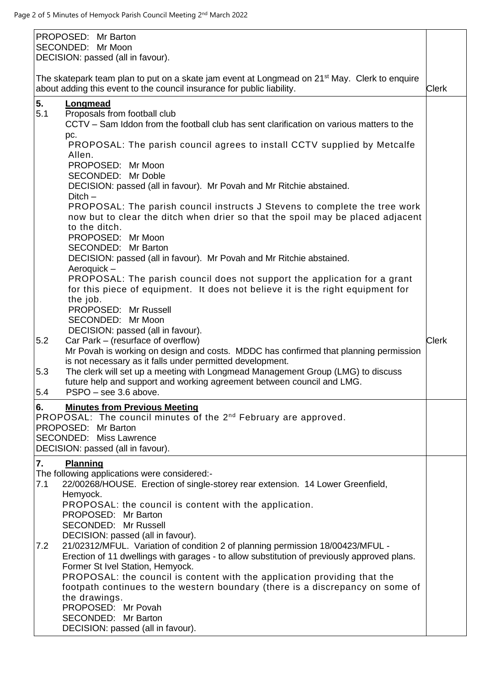| PROPOSED: Mr Barton<br>SECONDED: Mr Moon<br>DECISION: passed (all in favour).                                                                                                                                                       |              |
|-------------------------------------------------------------------------------------------------------------------------------------------------------------------------------------------------------------------------------------|--------------|
| The skatepark team plan to put on a skate jam event at Longmead on 21 <sup>st</sup> May. Clerk to enquire<br>about adding this event to the council insurance for public liability.                                                 | <b>Clerk</b> |
| 5.<br><b>Longmead</b><br>5.1<br>Proposals from football club<br>CCTV – Sam Iddon from the football club has sent clarification on various matters to the                                                                            |              |
| pc.<br>PROPOSAL: The parish council agrees to install CCTV supplied by Metcalfe<br>Allen.                                                                                                                                           |              |
| PROPOSED: Mr Moon<br>SECONDED: Mr Doble<br>DECISION: passed (all in favour). Mr Povah and Mr Ritchie abstained.                                                                                                                     |              |
| $Ditch -$<br>PROPOSAL: The parish council instructs J Stevens to complete the tree work<br>now but to clear the ditch when drier so that the spoil may be placed adjacent<br>to the ditch.<br>PROPOSED: Mr Moon                     |              |
| SECONDED: Mr Barton<br>DECISION: passed (all in favour). Mr Povah and Mr Ritchie abstained.<br>Aeroquick-                                                                                                                           |              |
| PROPOSAL: The parish council does not support the application for a grant<br>for this piece of equipment. It does not believe it is the right equipment for<br>the job.                                                             |              |
| PROPOSED: Mr Russell<br>SECONDED: Mr Moon                                                                                                                                                                                           |              |
| DECISION: passed (all in favour).<br>Car Park - (resurface of overflow)<br>5.2<br>Mr Povah is working on design and costs. MDDC has confirmed that planning permission<br>is not necessary as it falls under permitted development. | <b>Clerk</b> |
| The clerk will set up a meeting with Longmead Management Group (LMG) to discuss<br>5.3<br>future help and support and working agreement between council and LMG.<br>PSPO - see 3.6 above.<br>5.4                                    |              |
| <b>Minutes from Previous Meeting</b><br>6.<br>PROPOSAL: The council minutes of the 2 <sup>nd</sup> February are approved.                                                                                                           |              |
| PROPOSED: Mr Barton<br><b>SECONDED: Miss Lawrence</b><br>DECISION: passed (all in favour).                                                                                                                                          |              |
| 7.<br><b>Planning</b><br>The following applications were considered:-                                                                                                                                                               |              |
| 7.1<br>22/00268/HOUSE. Erection of single-storey rear extension. 14 Lower Greenfield,<br>Hemyock.                                                                                                                                   |              |
| PROPOSAL: the council is content with the application.<br>PROPOSED: Mr Barton                                                                                                                                                       |              |
| SECONDED: Mr Russell<br>DECISION: passed (all in favour).                                                                                                                                                                           |              |
| 21/02312/MFUL. Variation of condition 2 of planning permission 18/00423/MFUL -<br>7.2<br>Erection of 11 dwellings with garages - to allow substitution of previously approved plans.<br>Former St Ivel Station, Hemyock.            |              |
| PROPOSAL: the council is content with the application providing that the<br>footpath continues to the western boundary (there is a discrepancy on some of<br>the drawings.                                                          |              |
| PROPOSED: Mr Povah<br>SECONDED: Mr Barton                                                                                                                                                                                           |              |
| DECISION: passed (all in favour).                                                                                                                                                                                                   |              |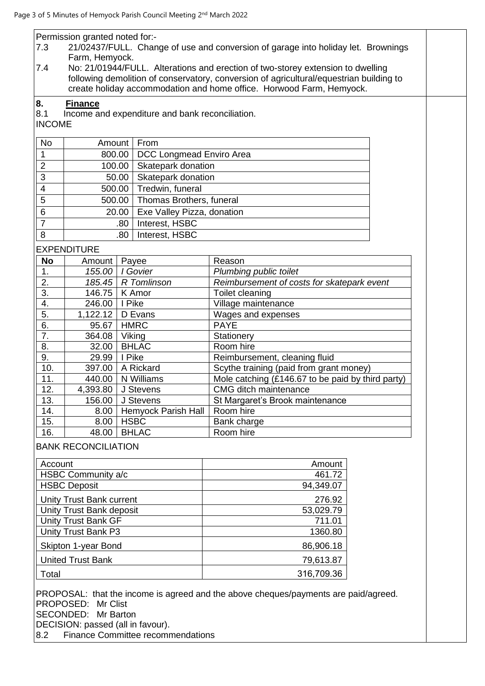|                                                                         | Permission granted noted for:-                                                                                                                                             |                |                            |                                                   |  |  |  |  |
|-------------------------------------------------------------------------|----------------------------------------------------------------------------------------------------------------------------------------------------------------------------|----------------|----------------------------|---------------------------------------------------|--|--|--|--|
| 7.3                                                                     | 21/02437/FULL. Change of use and conversion of garage into holiday let. Brownings                                                                                          |                |                            |                                                   |  |  |  |  |
| 7.4                                                                     | Farm, Hemyock.                                                                                                                                                             |                |                            |                                                   |  |  |  |  |
|                                                                         | No: 21/01944/FULL. Alterations and erection of two-storey extension to dwelling<br>following demolition of conservatory, conversion of agricultural/equestrian building to |                |                            |                                                   |  |  |  |  |
|                                                                         |                                                                                                                                                                            |                |                            |                                                   |  |  |  |  |
|                                                                         | create holiday accommodation and home office. Horwood Farm, Hemyock.                                                                                                       |                |                            |                                                   |  |  |  |  |
| 8.                                                                      | <b>Finance</b>                                                                                                                                                             |                |                            |                                                   |  |  |  |  |
| 8.1<br>Income and expenditure and bank reconciliation.<br><b>INCOME</b> |                                                                                                                                                                            |                |                            |                                                   |  |  |  |  |
|                                                                         |                                                                                                                                                                            |                |                            |                                                   |  |  |  |  |
| No                                                                      |                                                                                                                                                                            | From<br>Amount |                            |                                                   |  |  |  |  |
| 1                                                                       | 800.00                                                                                                                                                                     |                | DCC Longmead Enviro Area   |                                                   |  |  |  |  |
| $\overline{2}$                                                          | 100.00                                                                                                                                                                     |                | Skatepark donation         |                                                   |  |  |  |  |
| 3                                                                       |                                                                                                                                                                            | 50.00          | Skatepark donation         |                                                   |  |  |  |  |
| $\overline{4}$                                                          | 500.00                                                                                                                                                                     |                | Tredwin, funeral           |                                                   |  |  |  |  |
| 5                                                                       | 500.00                                                                                                                                                                     |                | Thomas Brothers, funeral   |                                                   |  |  |  |  |
| $\,6$                                                                   |                                                                                                                                                                            | 20.00          | Exe Valley Pizza, donation |                                                   |  |  |  |  |
| $\overline{7}$                                                          |                                                                                                                                                                            | .80            | Interest, HSBC             |                                                   |  |  |  |  |
| 8                                                                       |                                                                                                                                                                            | .80            | Interest, HSBC             |                                                   |  |  |  |  |
|                                                                         |                                                                                                                                                                            |                |                            |                                                   |  |  |  |  |
|                                                                         | <b>EXPENDITURE</b>                                                                                                                                                         |                |                            |                                                   |  |  |  |  |
| <b>No</b>                                                               | Amount                                                                                                                                                                     | Payee          |                            | Reason                                            |  |  |  |  |
| 1.                                                                      | 155.00                                                                                                                                                                     |                | I Govier                   | Plumbing public toilet                            |  |  |  |  |
| 2.                                                                      |                                                                                                                                                                            |                | 185.45   R Tomlinson       | Reimbursement of costs for skatepark event        |  |  |  |  |
| 3.                                                                      | 146.75                                                                                                                                                                     |                | K Amor                     | Toilet cleaning                                   |  |  |  |  |
| 4.                                                                      | 246.00                                                                                                                                                                     | I Pike         |                            | Village maintenance                               |  |  |  |  |
| 5.                                                                      | 1,122.12                                                                                                                                                                   |                | D Evans                    | Wages and expenses                                |  |  |  |  |
| 6.                                                                      | 95.67                                                                                                                                                                      |                | <b>HMRC</b>                | <b>PAYE</b>                                       |  |  |  |  |
| 7.                                                                      | 364.08                                                                                                                                                                     | Viking         |                            | Stationery                                        |  |  |  |  |
| 8.                                                                      | 32.00                                                                                                                                                                      |                | <b>BHLAC</b>               | Room hire                                         |  |  |  |  |
| 9.                                                                      | 29.99   I Pike                                                                                                                                                             |                |                            | Reimbursement, cleaning fluid                     |  |  |  |  |
| 10.<br>11.                                                              | 397.00                                                                                                                                                                     |                | A Rickard<br>N Williams    | Scythe training (paid from grant money)           |  |  |  |  |
|                                                                         | 440.00                                                                                                                                                                     |                |                            | Mole catching (£146.67 to be paid by third party) |  |  |  |  |
| 12.<br>13.                                                              | 4,393.80                                                                                                                                                                   |                | J Stevens<br>J Stevens     | <b>CMG</b> ditch maintenance                      |  |  |  |  |
| 14.                                                                     | 156.00                                                                                                                                                                     |                | <b>Hemyock Parish Hall</b> | St Margaret's Brook maintenance<br>Room hire      |  |  |  |  |
| 15.                                                                     | 8.00<br>8.00                                                                                                                                                               | <b>HSBC</b>    |                            |                                                   |  |  |  |  |
| 16.                                                                     | 48.00                                                                                                                                                                      |                | <b>BHLAC</b>               | Bank charge<br>Room hire                          |  |  |  |  |
|                                                                         |                                                                                                                                                                            |                |                            |                                                   |  |  |  |  |
|                                                                         | <b>BANK RECONCILIATION</b>                                                                                                                                                 |                |                            |                                                   |  |  |  |  |
| Account                                                                 |                                                                                                                                                                            |                |                            | Amount                                            |  |  |  |  |
|                                                                         | HSBC Community a/c                                                                                                                                                         |                |                            | 461.72                                            |  |  |  |  |
|                                                                         | <b>HSBC Deposit</b>                                                                                                                                                        |                |                            | 94,349.07                                         |  |  |  |  |
|                                                                         |                                                                                                                                                                            |                |                            |                                                   |  |  |  |  |
|                                                                         | Unity Trust Bank current                                                                                                                                                   |                |                            | 276.92                                            |  |  |  |  |
|                                                                         | Unity Trust Bank deposit                                                                                                                                                   |                |                            | 53,029.79                                         |  |  |  |  |
|                                                                         | <b>Unity Trust Bank GF</b>                                                                                                                                                 |                |                            | 711.01                                            |  |  |  |  |
|                                                                         | Unity Trust Bank P3                                                                                                                                                        |                |                            | 1360.80                                           |  |  |  |  |
|                                                                         | Skipton 1-year Bond                                                                                                                                                        |                |                            | 86,906.18                                         |  |  |  |  |
|                                                                         | <b>United Trust Bank</b>                                                                                                                                                   |                |                            | 79,613.87                                         |  |  |  |  |
| Total                                                                   |                                                                                                                                                                            |                |                            | 316,709.36                                        |  |  |  |  |
|                                                                         |                                                                                                                                                                            |                |                            |                                                   |  |  |  |  |

PROPOSAL: that the income is agreed and the above cheques/payments are paid/agreed. PROPOSED: Mr Clist SECONDED: Mr Barton DECISION: passed (all in favour).<br>8.2 Finance Committee recomn

Finance Committee recommendations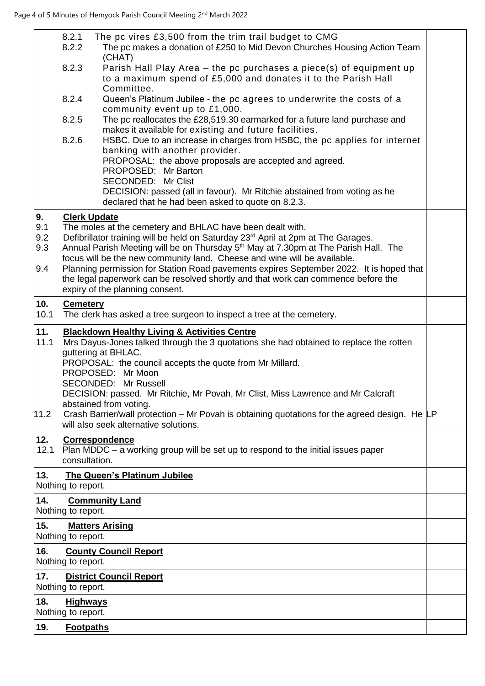|             | 8.2.1<br>8.2.2                                                                                                                                                                                                                                                                                                                                                       | The pc vires £3,500 from the trim trail budget to CMG<br>The pc makes a donation of £250 to Mid Devon Churches Housing Action Team                                                               |  |  |  |  |  |
|-------------|----------------------------------------------------------------------------------------------------------------------------------------------------------------------------------------------------------------------------------------------------------------------------------------------------------------------------------------------------------------------|--------------------------------------------------------------------------------------------------------------------------------------------------------------------------------------------------|--|--|--|--|--|
|             | 8.2.3                                                                                                                                                                                                                                                                                                                                                                | (CHAT)<br>Parish Hall Play Area - the pc purchases a piece(s) of equipment up<br>to a maximum spend of £5,000 and donates it to the Parish Hall<br>Committee.                                    |  |  |  |  |  |
|             | 8.2.4                                                                                                                                                                                                                                                                                                                                                                | Queen's Platinum Jubilee - the pc agrees to underwrite the costs of a<br>community event up to £1,000.                                                                                           |  |  |  |  |  |
|             | 8.2.5                                                                                                                                                                                                                                                                                                                                                                | The pc reallocates the £28,519.30 earmarked for a future land purchase and<br>makes it available for existing and future facilities.                                                             |  |  |  |  |  |
|             | 8.2.6                                                                                                                                                                                                                                                                                                                                                                | HSBC. Due to an increase in charges from HSBC, the pc applies for internet<br>banking with another provider.                                                                                     |  |  |  |  |  |
|             |                                                                                                                                                                                                                                                                                                                                                                      | PROPOSAL: the above proposals are accepted and agreed.<br>PROPOSED: Mr Barton                                                                                                                    |  |  |  |  |  |
|             |                                                                                                                                                                                                                                                                                                                                                                      | SECONDED: Mr Clist<br>DECISION: passed (all in favour). Mr Ritchie abstained from voting as he                                                                                                   |  |  |  |  |  |
|             |                                                                                                                                                                                                                                                                                                                                                                      | declared that he had been asked to quote on 8.2.3.                                                                                                                                               |  |  |  |  |  |
| 9.<br>9.1   |                                                                                                                                                                                                                                                                                                                                                                      | <b>Clerk Update</b><br>The moles at the cemetery and BHLAC have been dealt with.                                                                                                                 |  |  |  |  |  |
| 9.2<br>9.3  |                                                                                                                                                                                                                                                                                                                                                                      | Defibrillator training will be held on Saturday 23 <sup>rd</sup> April at 2pm at The Garages.<br>Annual Parish Meeting will be on Thursday 5 <sup>th</sup> May at 7.30pm at The Parish Hall. The |  |  |  |  |  |
| 9.4         |                                                                                                                                                                                                                                                                                                                                                                      | focus will be the new community land. Cheese and wine will be available.<br>Planning permission for Station Road pavements expires September 2022. It is hoped that                              |  |  |  |  |  |
|             |                                                                                                                                                                                                                                                                                                                                                                      | the legal paperwork can be resolved shortly and that work can commence before the<br>expiry of the planning consent.                                                                             |  |  |  |  |  |
| 10.<br>10.1 | <b>Cemetery</b><br>The clerk has asked a tree surgeon to inspect a tree at the cemetery.                                                                                                                                                                                                                                                                             |                                                                                                                                                                                                  |  |  |  |  |  |
| 11.<br>11.1 | <b>Blackdown Healthy Living &amp; Activities Centre</b><br>Mrs Dayus-Jones talked through the 3 quotations she had obtained to replace the rotten<br>guttering at BHLAC.<br>PROPOSAL: the council accepts the quote from Mr Millard.<br>PROPOSED: Mr Moon<br>SECONDED: Mr Russell<br>DECISION: passed. Mr Ritchie, Mr Povah, Mr Clist, Miss Lawrence and Mr Calcraft |                                                                                                                                                                                                  |  |  |  |  |  |
| 11.2        | abstained from voting.<br>Crash Barrier/wall protection - Mr Povah is obtaining quotations for the agreed design. He LP<br>will also seek alternative solutions.                                                                                                                                                                                                     |                                                                                                                                                                                                  |  |  |  |  |  |
| 12.<br>12.1 | consultation.                                                                                                                                                                                                                                                                                                                                                        | <b>Correspondence</b><br>Plan MDDC $-$ a working group will be set up to respond to the initial issues paper                                                                                     |  |  |  |  |  |
| 13.         | Nothing to report.                                                                                                                                                                                                                                                                                                                                                   | <b>The Queen's Platinum Jubilee</b>                                                                                                                                                              |  |  |  |  |  |
| 14.         | Nothing to report.                                                                                                                                                                                                                                                                                                                                                   | <b>Community Land</b>                                                                                                                                                                            |  |  |  |  |  |
| 15.         | Nothing to report.                                                                                                                                                                                                                                                                                                                                                   | <b>Matters Arising</b>                                                                                                                                                                           |  |  |  |  |  |
| 16.         | Nothing to report.                                                                                                                                                                                                                                                                                                                                                   | <b>County Council Report</b>                                                                                                                                                                     |  |  |  |  |  |
| 17.         | Nothing to report.                                                                                                                                                                                                                                                                                                                                                   | <b>District Council Report</b>                                                                                                                                                                   |  |  |  |  |  |
| 18.         | <b>Highways</b><br>Nothing to report.                                                                                                                                                                                                                                                                                                                                |                                                                                                                                                                                                  |  |  |  |  |  |
| 19.         | <b>Footpaths</b>                                                                                                                                                                                                                                                                                                                                                     |                                                                                                                                                                                                  |  |  |  |  |  |